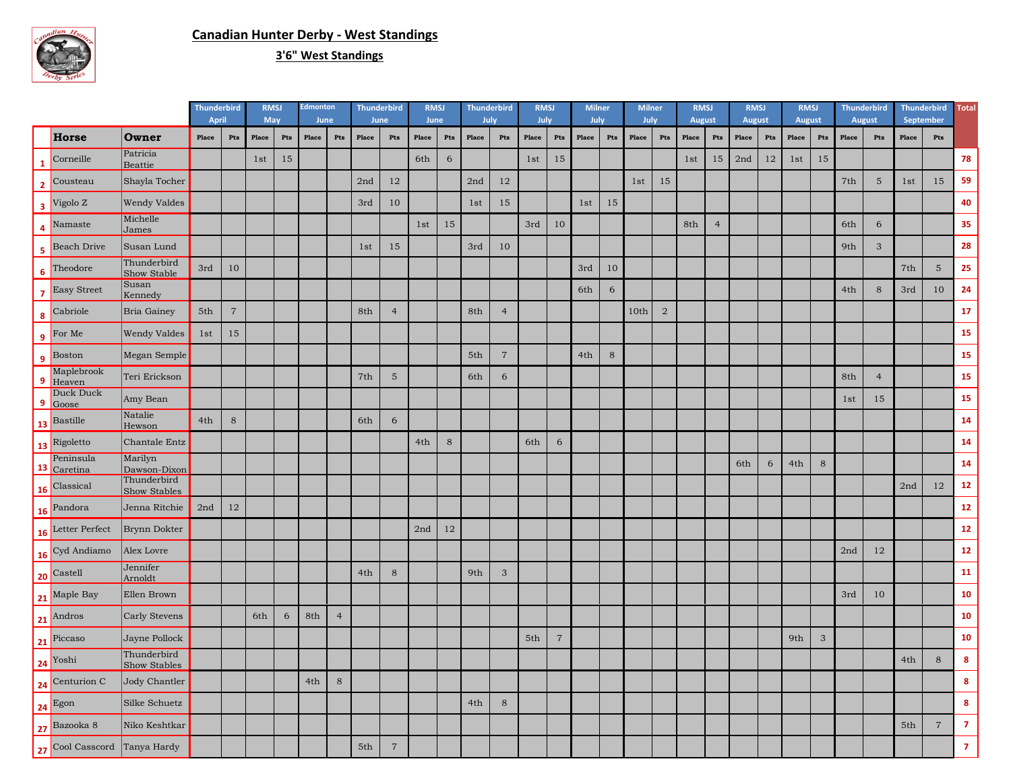

## **Canadian Hunter Derby - West Standings**

**3'6" West Standings**

|                |                          |                                    | <b>Thunderbird</b><br><b>April</b> |                | <b>RMSJ</b><br>May |     | <b>Edmonton</b><br>June |                | <b>Thunderbird</b><br><b>June</b> |                | <b>RMSJ</b><br>June |        | <b>Thunderbird</b><br>July |                           | <b>RMSJ</b><br>July |                                  | <b>Milner</b><br>July |         | <b>Milner</b><br><b>July</b> |            | <b>RMSJ</b><br><b>August</b> |                                  | <b>RMSJ</b><br><b>August</b> |     |                | <b>RMSJ</b><br><b>August</b> |       | <b>Thunderbird</b><br>August |       | <b>Thunderbird</b><br>September | <b>Total</b>   |
|----------------|--------------------------|------------------------------------|------------------------------------|----------------|--------------------|-----|-------------------------|----------------|-----------------------------------|----------------|---------------------|--------|----------------------------|---------------------------|---------------------|----------------------------------|-----------------------|---------|------------------------------|------------|------------------------------|----------------------------------|------------------------------|-----|----------------|------------------------------|-------|------------------------------|-------|---------------------------------|----------------|
|                | <b>Horse</b>             | Owner                              | Place                              | $P$ ts         | Place              | Pts | Place                   | Pts            | Place                             | Pts            | Place               | Pts    | Place                      | Pts                       | Place               | $\mathbf{P}\mathbf{t}\mathbf{s}$ | Place                 | Pts     | Place                        | Pts        | Place                        | $\mathbf{P}\mathbf{t}\mathbf{s}$ | Place                        | Pts | Place          | Pts                          | Place | Pts                          | Place | Pts                             |                |
|                | Corneille                | Patricia<br><b>Beattie</b>         |                                    |                | 1st                | 15  |                         |                |                                   |                | 6th                 | 6      |                            |                           | 1st                 | 15                               |                       |         |                              |            | 1st                          | 15                               | 2nd                          | 12  | $1\mathrm{st}$ | 15                           |       |                              |       |                                 | 78             |
| $\overline{2}$ | Cousteau                 | Shayla Tocher                      |                                    |                |                    |     |                         |                | $2\mathrm{nd}$                    | 12             |                     |        | 2nd                        | 12                        |                     |                                  |                       |         | 1st                          | 15         |                              |                                  |                              |     |                |                              | 7th   | $\mathbf 5$                  | 1st   | 15                              | 59             |
| 3              | Vigolo Z                 | <b>Wendy Valdes</b>                |                                    |                |                    |     |                         |                | 3rd                               | 10             |                     |        | 1st                        | 15                        |                     |                                  | 1st                   | 15      |                              |            |                              |                                  |                              |     |                |                              |       |                              |       |                                 | 40             |
|                | Namaste                  | Michelle<br>James                  |                                    |                |                    |     |                         |                |                                   |                | 1st                 | 15     |                            |                           | 3rd                 | 10                               |                       |         |                              |            | 8th                          | $\overline{4}$                   |                              |     |                |                              | 6th   | 6                            |       |                                 | 35             |
|                | <b>Beach Drive</b>       | Susan Lund                         |                                    |                |                    |     |                         |                | 1st                               | 15             |                     |        | 3rd                        | 10                        |                     |                                  |                       |         |                              |            |                              |                                  |                              |     |                |                              | 9th   | 3                            |       |                                 | 28             |
| 6              | Theodore                 | Thunderbird<br><b>Show Stable</b>  | 3rd                                | 10             |                    |     |                         |                |                                   |                |                     |        |                            |                           |                     |                                  | 3rd                   | 10      |                              |            |                              |                                  |                              |     |                |                              |       |                              | 7th   | $5\phantom{.0}$                 | 25             |
| $\overline{7}$ | <b>Easy Street</b>       | Susan<br>Kennedy                   |                                    |                |                    |     |                         |                |                                   |                |                     |        |                            |                           |                     |                                  | 6th                   | 6       |                              |            |                              |                                  |                              |     |                |                              | 4th   | 8                            | 3rd   | 10                              | 24             |
| 8              | Cabriole                 | Bria Gainey                        | 5th                                | $\overline{7}$ |                    |     |                         |                | 8th                               | $\overline{4}$ |                     |        | 8th                        | $\overline{4}$            |                     |                                  |                       |         | 10th                         | $\sqrt{2}$ |                              |                                  |                              |     |                |                              |       |                              |       |                                 | 17             |
| 9              | For Me                   | Wendy Valdes                       | 1st                                | 15             |                    |     |                         |                |                                   |                |                     |        |                            |                           |                     |                                  |                       |         |                              |            |                              |                                  |                              |     |                |                              |       |                              |       |                                 | 15             |
| $\overline{9}$ | Boston                   | Megan Semple <mark> </mark>        |                                    |                |                    |     |                         |                |                                   |                |                     |        | 5th                        | $\sqrt{7}$                |                     |                                  | 4th                   | $\bf 8$ |                              |            |                              |                                  |                              |     |                |                              |       |                              |       |                                 | 15             |
|                | Maplebrook<br>9 Heaven   | Teri Erickson                      |                                    |                |                    |     |                         |                | 7th                               | $\mathbf 5$    |                     |        | 6th                        | $\,$ 6 $\,$               |                     |                                  |                       |         |                              |            |                              |                                  |                              |     |                |                              | 8th   | $\overline{4}$               |       |                                 | ${\bf 15}$     |
| -9             | Duck Duck<br>Goose       | Amy Bean                           |                                    |                |                    |     |                         |                |                                   |                |                     |        |                            |                           |                     |                                  |                       |         |                              |            |                              |                                  |                              |     |                |                              | 1st   | 15                           |       |                                 | 15             |
| 13             | Bastille                 | Natalie<br>Hewson                  | 4th                                | $\,8\,$        |                    |     |                         |                | 6th                               | 6              |                     |        |                            |                           |                     |                                  |                       |         |                              |            |                              |                                  |                              |     |                |                              |       |                              |       |                                 | 14             |
| 13             | Rigoletto                | Chantale Entz                      |                                    |                |                    |     |                         |                |                                   |                | 4th                 | $\bf8$ |                            |                           | 6th                 | 6                                |                       |         |                              |            |                              |                                  |                              |     |                |                              |       |                              |       |                                 | 14             |
|                | Peninsula<br>13 Caretina | Marilyn<br>Dawson-Dixon            |                                    |                |                    |     |                         |                |                                   |                |                     |        |                            |                           |                     |                                  |                       |         |                              |            |                              |                                  | 6th                          | 6   | 4th            | $\,$ 8 $\,$                  |       |                              |       |                                 | 14             |
| <b>16</b>      | Classical                | Thunderbird<br>Show Stables        |                                    |                |                    |     |                         |                |                                   |                |                     |        |                            |                           |                     |                                  |                       |         |                              |            |                              |                                  |                              |     |                |                              |       |                              | 2nd   | 12                              | 12             |
| <b>16</b>      | Pandora                  | Jenna Ritchie                      | 2nd                                | 12             |                    |     |                         |                |                                   |                |                     |        |                            |                           |                     |                                  |                       |         |                              |            |                              |                                  |                              |     |                |                              |       |                              |       |                                 | $12$           |
| <b>16</b>      | Letter Perfect           | Brynn Dokter                       |                                    |                |                    |     |                         |                |                                   |                | 2nd                 | 12     |                            |                           |                     |                                  |                       |         |                              |            |                              |                                  |                              |     |                |                              |       |                              |       |                                 | $12$           |
|                | 16 Cyd Andiamo           | Alex Lovre                         |                                    |                |                    |     |                         |                |                                   |                |                     |        |                            |                           |                     |                                  |                       |         |                              |            |                              |                                  |                              |     |                |                              | 2nd   | 12                           |       |                                 | $12 \quad$     |
| 20             | Castell                  | Jennifer<br>Arnoldt                |                                    |                |                    |     |                         |                | 4th                               | $\,8\,$        |                     |        | 9th                        | $\ensuremath{\mathsf{3}}$ |                     |                                  |                       |         |                              |            |                              |                                  |                              |     |                |                              |       |                              |       |                                 | ${\bf 11}$     |
| 21             | Maple Bay                | Ellen Brown                        |                                    |                |                    |     |                         |                |                                   |                |                     |        |                            |                           |                     |                                  |                       |         |                              |            |                              |                                  |                              |     |                |                              | 3rd   | 10                           |       |                                 | 10             |
| 21             | Andros                   | Carly Stevens                      |                                    |                | 6th                | 6   | 8th                     | $\overline{4}$ |                                   |                |                     |        |                            |                           |                     |                                  |                       |         |                              |            |                              |                                  |                              |     |                |                              |       |                              |       |                                 | 10             |
| 21             | Piccaso                  | Jayne Pollock                      |                                    |                |                    |     |                         |                |                                   |                |                     |        |                            |                           | 5th                 | $\overline{7}$                   |                       |         |                              |            |                              |                                  |                              |     | 9th            | $\mathbf{3}$                 |       |                              |       |                                 | 10             |
| 24             | Yoshi                    | Thunderbird<br><b>Show Stables</b> |                                    |                |                    |     |                         |                |                                   |                |                     |        |                            |                           |                     |                                  |                       |         |                              |            |                              |                                  |                              |     |                |                              |       |                              | 4th   | 8                               | 8              |
| 24             | Centurion C              | Jody Chantler                      |                                    |                |                    |     | 4th                     | $\,$ 8 $\,$    |                                   |                |                     |        |                            |                           |                     |                                  |                       |         |                              |            |                              |                                  |                              |     |                |                              |       |                              |       |                                 | 8              |
| 24             | Egon                     | Silke Schuetz                      |                                    |                |                    |     |                         |                |                                   |                |                     |        | 4th                        | $\,$ 8 $\,$               |                     |                                  |                       |         |                              |            |                              |                                  |                              |     |                |                              |       |                              |       |                                 | $\pmb{8}$      |
| 27             | Bazooka 8                | Niko Keshtkar                      |                                    |                |                    |     |                         |                |                                   |                |                     |        |                            |                           |                     |                                  |                       |         |                              |            |                              |                                  |                              |     |                |                              |       |                              | 5th   | $\overline{7}$                  | $\overline{7}$ |
|                | 27 Cool Casscord         | Tanya Hardy                        |                                    |                |                    |     |                         |                | 5th                               | $\overline{7}$ |                     |        |                            |                           |                     |                                  |                       |         |                              |            |                              |                                  |                              |     |                |                              |       |                              |       |                                 | $\mathbf{7}$   |